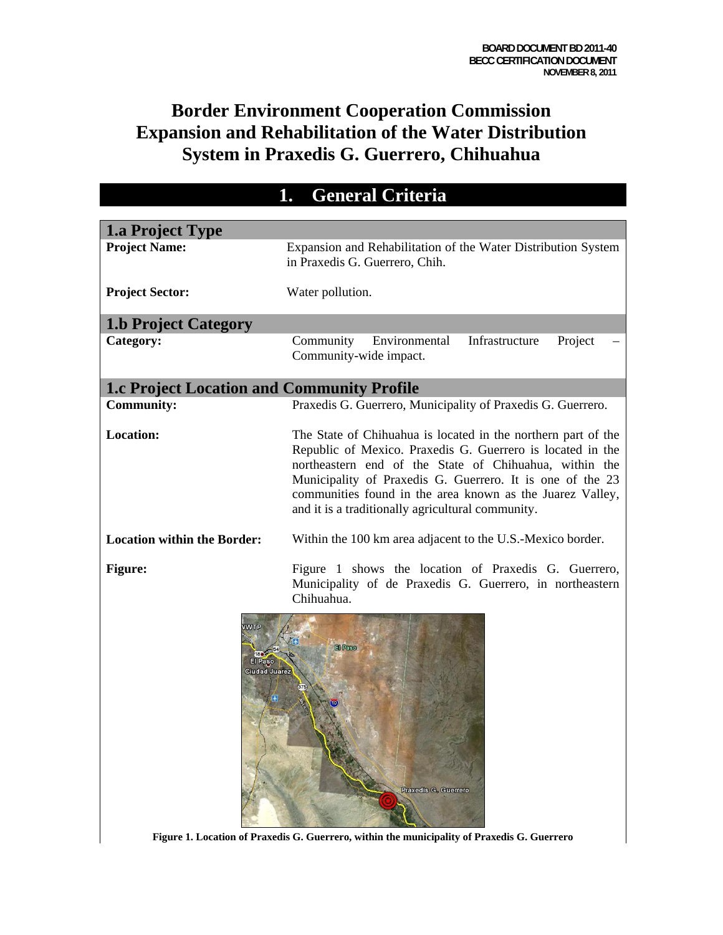### **Border Environment Cooperation Commission Expansion and Rehabilitation of the Water Distribution System in Praxedis G. Guerrero, Chihuahua**

| <b>General Criteria</b>                                                |                                                                                                                                                                                                                                                                                                                                                                      |  |
|------------------------------------------------------------------------|----------------------------------------------------------------------------------------------------------------------------------------------------------------------------------------------------------------------------------------------------------------------------------------------------------------------------------------------------------------------|--|
|                                                                        |                                                                                                                                                                                                                                                                                                                                                                      |  |
| <b>1.a Project Type</b><br><b>Project Name:</b>                        | Expansion and Rehabilitation of the Water Distribution System<br>in Praxedis G. Guerrero, Chih.                                                                                                                                                                                                                                                                      |  |
| <b>Project Sector:</b>                                                 | Water pollution.                                                                                                                                                                                                                                                                                                                                                     |  |
| <b>1.b Project Category</b>                                            |                                                                                                                                                                                                                                                                                                                                                                      |  |
| Category:                                                              | Community<br>Environmental<br>Infrastructure<br>Project<br>Community-wide impact.                                                                                                                                                                                                                                                                                    |  |
| <b>1.c Project Location and Community Profile</b>                      |                                                                                                                                                                                                                                                                                                                                                                      |  |
| <b>Community:</b>                                                      | Praxedis G. Guerrero, Municipality of Praxedis G. Guerrero.                                                                                                                                                                                                                                                                                                          |  |
| <b>Location:</b>                                                       | The State of Chihuahua is located in the northern part of the<br>Republic of Mexico. Praxedis G. Guerrero is located in the<br>northeastern end of the State of Chihuahua, within the<br>Municipality of Praxedis G. Guerrero. It is one of the 23<br>communities found in the area known as the Juarez Valley,<br>and it is a traditionally agricultural community. |  |
| <b>Location within the Border:</b>                                     | Within the 100 km area adjacent to the U.S.-Mexico border.                                                                                                                                                                                                                                                                                                           |  |
| <b>Figure:</b><br><b>WTP</b><br><b>El Paso</b><br><b>Ciudad Juarez</b> | Figure 1 shows the location of Praxedis G. Guerrero,<br>Municipality of de Praxedis G. Guerrero, in northeastern<br>Chihuahua.<br>El Paso<br>Praxedis G. Guerrero                                                                                                                                                                                                    |  |

**Figure 1. Location of Praxedis G. Guerrero, within the municipality of Praxedis G. Guerrero**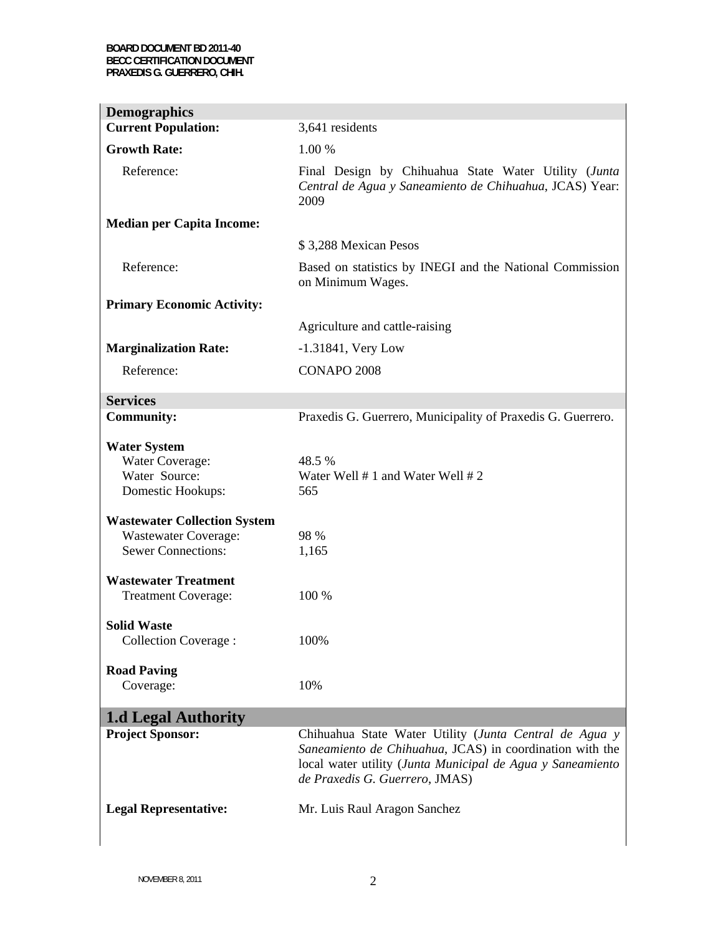| <b>Demographics</b>                 |                                                                                                                                                                                                                    |
|-------------------------------------|--------------------------------------------------------------------------------------------------------------------------------------------------------------------------------------------------------------------|
| <b>Current Population:</b>          | 3,641 residents                                                                                                                                                                                                    |
| <b>Growth Rate:</b>                 | 1.00 %                                                                                                                                                                                                             |
| Reference:                          | Final Design by Chihuahua State Water Utility (Junta<br>Central de Agua y Saneamiento de Chihuahua, JCAS) Year:<br>2009                                                                                            |
| <b>Median per Capita Income:</b>    |                                                                                                                                                                                                                    |
|                                     | \$3,288 Mexican Pesos                                                                                                                                                                                              |
| Reference:                          | Based on statistics by INEGI and the National Commission<br>on Minimum Wages.                                                                                                                                      |
| <b>Primary Economic Activity:</b>   |                                                                                                                                                                                                                    |
|                                     | Agriculture and cattle-raising                                                                                                                                                                                     |
| <b>Marginalization Rate:</b>        | $-1.31841$ , Very Low                                                                                                                                                                                              |
| Reference:                          | CONAPO 2008                                                                                                                                                                                                        |
| <b>Services</b>                     |                                                                                                                                                                                                                    |
| <b>Community:</b>                   | Praxedis G. Guerrero, Municipality of Praxedis G. Guerrero.                                                                                                                                                        |
| <b>Water System</b>                 |                                                                                                                                                                                                                    |
| Water Coverage:                     | 48.5 %                                                                                                                                                                                                             |
| Water Source:                       | Water Well $# 1$ and Water Well $# 2$                                                                                                                                                                              |
| Domestic Hookups:                   | 565                                                                                                                                                                                                                |
| <b>Wastewater Collection System</b> |                                                                                                                                                                                                                    |
| <b>Wastewater Coverage:</b>         | 98 %                                                                                                                                                                                                               |
| <b>Sewer Connections:</b>           | 1,165                                                                                                                                                                                                              |
| <b>Wastewater Treatment</b>         |                                                                                                                                                                                                                    |
| <b>Treatment Coverage:</b>          | 100 %                                                                                                                                                                                                              |
| <b>Solid Waste</b>                  |                                                                                                                                                                                                                    |
| <b>Collection Coverage:</b>         | 100%                                                                                                                                                                                                               |
| <b>Road Paving</b>                  |                                                                                                                                                                                                                    |
| Coverage:                           | 10%                                                                                                                                                                                                                |
| <b>1.d Legal Authority</b>          |                                                                                                                                                                                                                    |
| <b>Project Sponsor:</b>             | Chihuahua State Water Utility (Junta Central de Agua y<br>Saneamiento de Chihuahua, JCAS) in coordination with the<br>local water utility (Junta Municipal de Agua y Saneamiento<br>de Praxedis G. Guerrero, JMAS) |
| <b>Legal Representative:</b>        | Mr. Luis Raul Aragon Sanchez                                                                                                                                                                                       |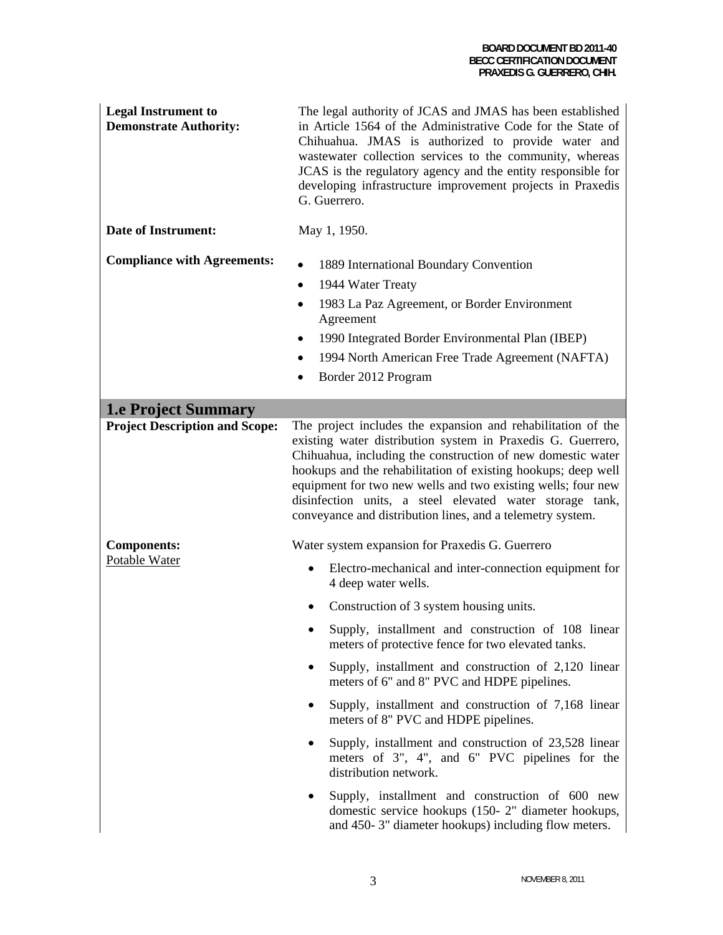| <b>Legal Instrument to</b><br><b>Demonstrate Authority:</b> | The legal authority of JCAS and JMAS has been established<br>in Article 1564 of the Administrative Code for the State of<br>Chihuahua. JMAS is authorized to provide water and<br>wastewater collection services to the community, whereas<br>JCAS is the regulatory agency and the entity responsible for<br>developing infrastructure improvement projects in Praxedis<br>G. Guerrero.                                                                                                                                                                    |
|-------------------------------------------------------------|-------------------------------------------------------------------------------------------------------------------------------------------------------------------------------------------------------------------------------------------------------------------------------------------------------------------------------------------------------------------------------------------------------------------------------------------------------------------------------------------------------------------------------------------------------------|
| <b>Date of Instrument:</b>                                  | May 1, 1950.                                                                                                                                                                                                                                                                                                                                                                                                                                                                                                                                                |
| <b>Compliance with Agreements:</b>                          | 1889 International Boundary Convention<br>1944 Water Treaty<br>1983 La Paz Agreement, or Border Environment<br>Agreement<br>1990 Integrated Border Environmental Plan (IBEP)<br>$\bullet$<br>1994 North American Free Trade Agreement (NAFTA)<br>Border 2012 Program                                                                                                                                                                                                                                                                                        |
| <b>1.e Project Summary</b>                                  |                                                                                                                                                                                                                                                                                                                                                                                                                                                                                                                                                             |
| <b>Project Description and Scope:</b>                       | The project includes the expansion and rehabilitation of the<br>existing water distribution system in Praxedis G. Guerrero,<br>Chihuahua, including the construction of new domestic water<br>hookups and the rehabilitation of existing hookups; deep well<br>equipment for two new wells and two existing wells; four new<br>disinfection units, a steel elevated water storage tank,<br>conveyance and distribution lines, and a telemetry system.                                                                                                       |
| <b>Components:</b><br>Potable Water                         | Water system expansion for Praxedis G. Guerrero<br>Electro-mechanical and inter-connection equipment for<br>4 deep water wells.<br>Construction of 3 system housing units.<br>Supply, installment and construction of 108 linear<br>meters of protective fence for two elevated tanks.<br>Supply, installment and construction of 2,120 linear<br>meters of 6" and 8" PVC and HDPE pipelines.<br>Supply, installment and construction of 7,168 linear<br>٠<br>meters of 8" PVC and HDPE pipelines.<br>Supply, installment and construction of 23,528 linear |
|                                                             | meters of 3", 4", and 6" PVC pipelines for the<br>distribution network.<br>Supply, installment and construction of 600 new<br>domestic service hookups (150-2" diameter hookups,<br>and 450-3" diameter hookups) including flow meters.                                                                                                                                                                                                                                                                                                                     |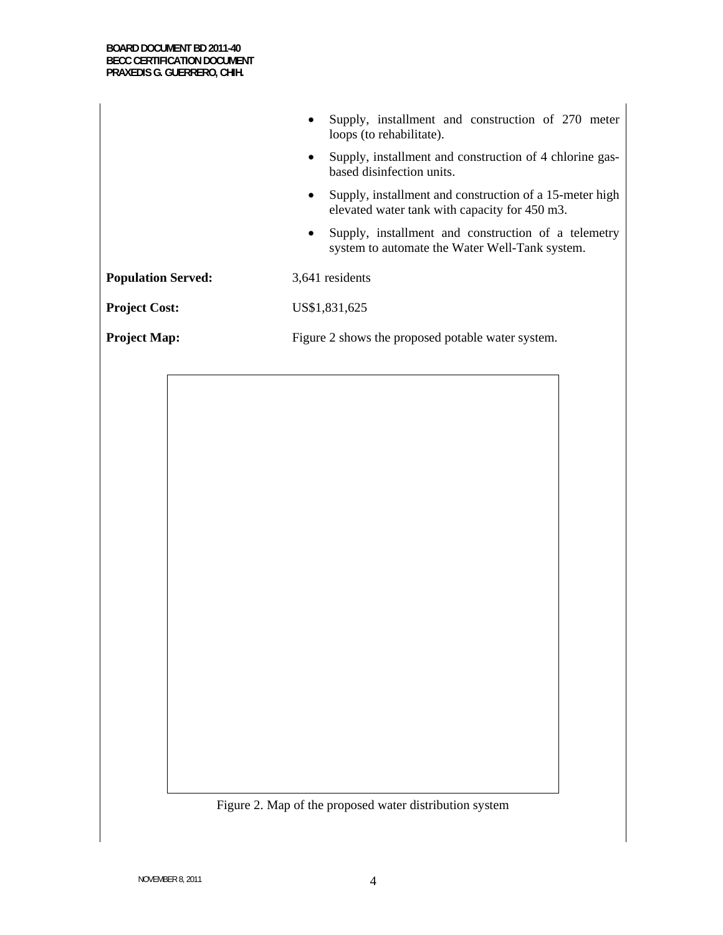|                           | Supply, installment and construction of 270 meter<br>loops (to rehabilitate).                                         |
|---------------------------|-----------------------------------------------------------------------------------------------------------------------|
|                           | Supply, installment and construction of 4 chlorine gas-<br>$\bullet$<br>based disinfection units.                     |
|                           | Supply, installment and construction of a 15-meter high<br>$\bullet$<br>elevated water tank with capacity for 450 m3. |
|                           | Supply, installment and construction of a telemetry<br>$\bullet$<br>system to automate the Water Well-Tank system.    |
| <b>Population Served:</b> | 3,641 residents                                                                                                       |
| <b>Project Cost:</b>      | US\$1,831,625                                                                                                         |
| <b>Project Map:</b>       | Figure 2 shows the proposed potable water system.                                                                     |
|                           |                                                                                                                       |
|                           |                                                                                                                       |
|                           |                                                                                                                       |
|                           |                                                                                                                       |
|                           |                                                                                                                       |
|                           |                                                                                                                       |
|                           |                                                                                                                       |
|                           |                                                                                                                       |
|                           |                                                                                                                       |
|                           |                                                                                                                       |
|                           |                                                                                                                       |
|                           |                                                                                                                       |
|                           |                                                                                                                       |
|                           |                                                                                                                       |

Figure 2. Map of the proposed water distribution system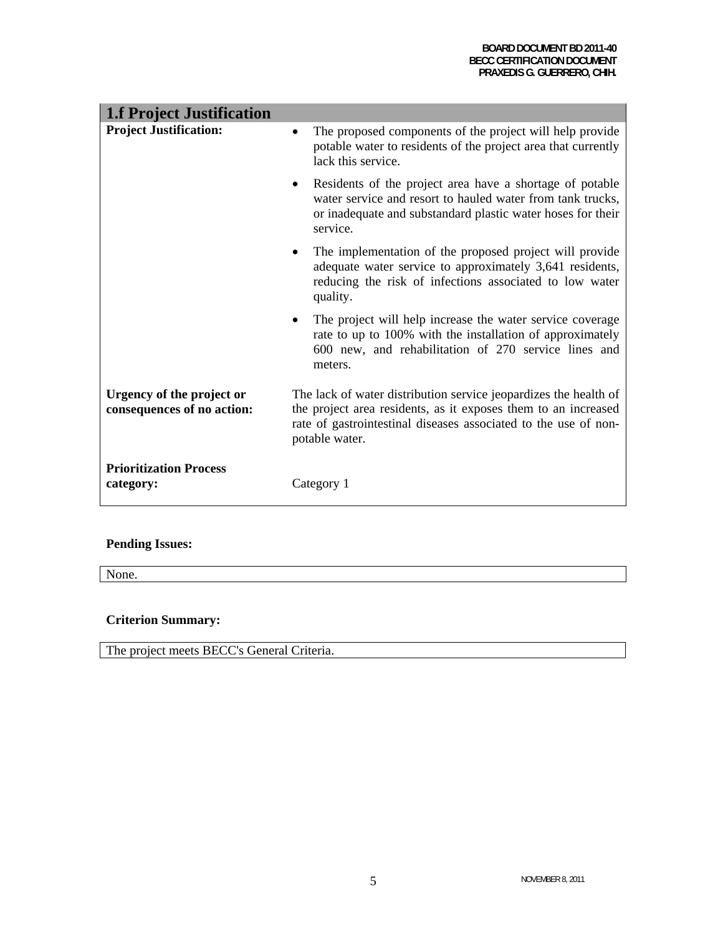| <b>1.f Project Justification</b>                        |                                                                                                                                                                                                                         |
|---------------------------------------------------------|-------------------------------------------------------------------------------------------------------------------------------------------------------------------------------------------------------------------------|
| <b>Project Justification:</b>                           | The proposed components of the project will help provide<br>$\bullet$<br>potable water to residents of the project area that currently<br>lack this service.                                                            |
|                                                         | Residents of the project area have a shortage of potable<br>$\bullet$<br>water service and resort to hauled water from tank trucks,<br>or inadequate and substandard plastic water hoses for their<br>service.          |
|                                                         | The implementation of the proposed project will provide<br>adequate water service to approximately 3,641 residents,<br>reducing the risk of infections associated to low water<br>quality.                              |
|                                                         | The project will help increase the water service coverage<br>rate to up to 100% with the installation of approximately<br>600 new, and rehabilitation of 270 service lines and<br>meters.                               |
| Urgency of the project or<br>consequences of no action: | The lack of water distribution service jeopardizes the health of<br>the project area residents, as it exposes them to an increased<br>rate of gastrointestinal diseases associated to the use of non-<br>potable water. |
| <b>Prioritization Process</b><br>category:              | Category 1                                                                                                                                                                                                              |

### **Pending Issues:**

None.

### **Criterion Summary:**

The project meets BECC's General Criteria.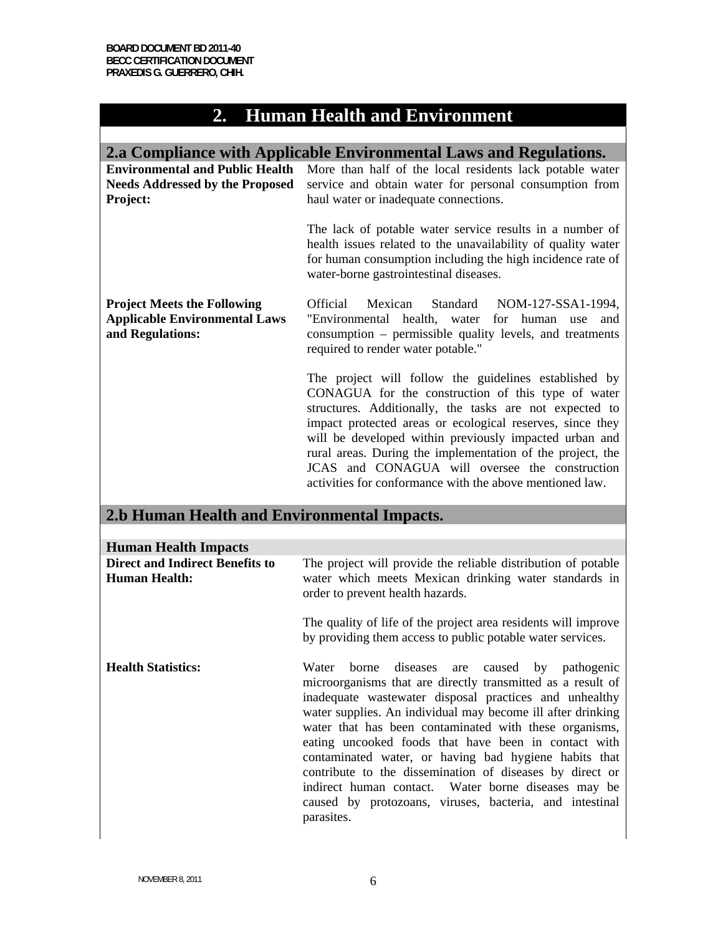## **2. Human Health and Environment**

| 2.a Compliance with Applicable Environmental Laws and Regulations.                             |                                                                                                                                                                                                                                                                                                                                                                                                                                                                           |  |  |  |
|------------------------------------------------------------------------------------------------|---------------------------------------------------------------------------------------------------------------------------------------------------------------------------------------------------------------------------------------------------------------------------------------------------------------------------------------------------------------------------------------------------------------------------------------------------------------------------|--|--|--|
| <b>Needs Addressed by the Proposed</b><br>Project:                                             | Environmental and Public Health More than half of the local residents lack potable water<br>service and obtain water for personal consumption from<br>haul water or inadequate connections.                                                                                                                                                                                                                                                                               |  |  |  |
|                                                                                                | The lack of potable water service results in a number of<br>health issues related to the unavailability of quality water<br>for human consumption including the high incidence rate of<br>water-borne gastrointestinal diseases.                                                                                                                                                                                                                                          |  |  |  |
| <b>Project Meets the Following</b><br><b>Applicable Environmental Laws</b><br>and Regulations: | Mexican<br>Standard NOM-127-SSA1-1994,<br>Official<br>"Environmental health, water<br>for human use<br>and<br>consumption – permissible quality levels, and treatments<br>required to render water potable."                                                                                                                                                                                                                                                              |  |  |  |
|                                                                                                | The project will follow the guidelines established by<br>CONAGUA for the construction of this type of water<br>structures. Additionally, the tasks are not expected to<br>impact protected areas or ecological reserves, since they<br>will be developed within previously impacted urban and<br>rural areas. During the implementation of the project, the<br>JCAS and CONAGUA will oversee the construction<br>activities for conformance with the above mentioned law. |  |  |  |

### **2.b Human Health and Environmental Impacts.**

| <b>Human Health Impacts</b>                             |                                                                                                                                                                                                                                                                                                                                                                                                                                                                                                                                                                                                              |  |  |
|---------------------------------------------------------|--------------------------------------------------------------------------------------------------------------------------------------------------------------------------------------------------------------------------------------------------------------------------------------------------------------------------------------------------------------------------------------------------------------------------------------------------------------------------------------------------------------------------------------------------------------------------------------------------------------|--|--|
| <b>Direct and Indirect Benefits to</b><br>Human Health: | The project will provide the reliable distribution of potable<br>water which meets Mexican drinking water standards in<br>order to prevent health hazards.                                                                                                                                                                                                                                                                                                                                                                                                                                                   |  |  |
|                                                         | The quality of life of the project area residents will improve<br>by providing them access to public potable water services.                                                                                                                                                                                                                                                                                                                                                                                                                                                                                 |  |  |
| <b>Health Statistics:</b>                               | Water borne diseases are caused by pathogenic<br>microorganisms that are directly transmitted as a result of<br>inadequate wastewater disposal practices and unhealthy<br>water supplies. An individual may become ill after drinking<br>water that has been contaminated with these organisms,<br>eating uncooked foods that have been in contact with<br>contaminated water, or having bad hygiene habits that<br>contribute to the dissemination of diseases by direct or<br>indirect human contact. Water borne diseases may be<br>caused by protozoans, viruses, bacteria, and intestinal<br>parasites. |  |  |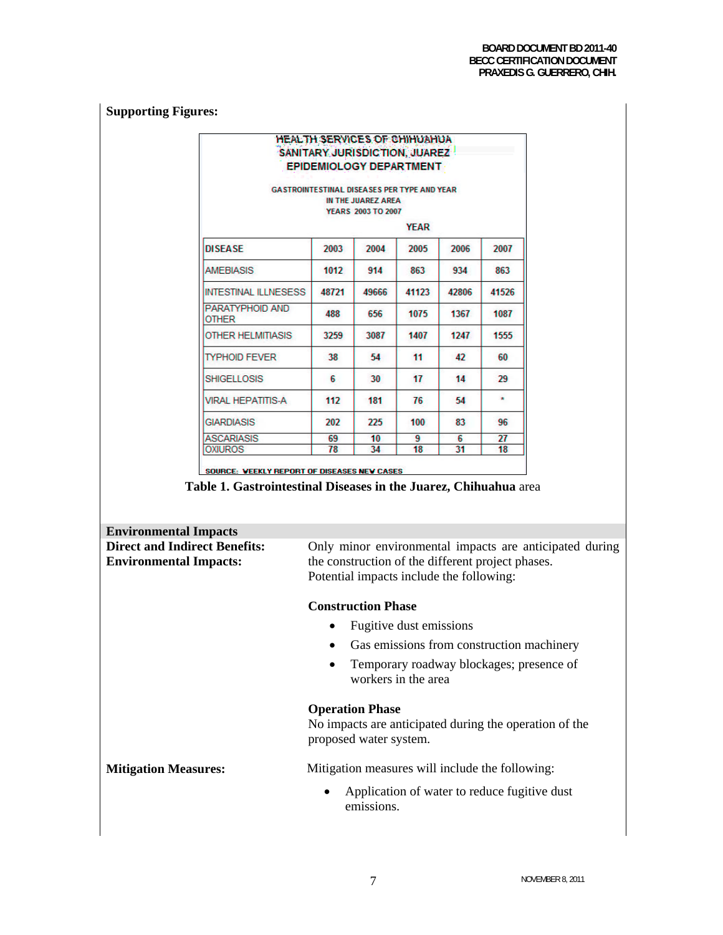### **Supporting Figures:**

|                                 |       | <b>HEALTH SERVICES OF CHIHUAHUA</b><br>SANITARY JURISDICTION, JUAREZ<br><b>EPIDEMIOLOGY DEPARTMENT</b><br><b>GASTROINTESTINAL DISEASES PER TYPE AND YEAR</b> |             |       |         |
|---------------------------------|-------|--------------------------------------------------------------------------------------------------------------------------------------------------------------|-------------|-------|---------|
|                                 |       | IN THE JUAREZ AREA                                                                                                                                           |             |       |         |
|                                 |       | <b>YEARS 2003 TO 2007</b>                                                                                                                                    |             |       |         |
|                                 |       |                                                                                                                                                              | <b>YEAR</b> |       |         |
| <b>DISEASE</b>                  | 2003  | 2004                                                                                                                                                         | 2005        | 2006  | 2007    |
| <b>AMEBIASIS</b>                | 1012  | 914                                                                                                                                                          | 863         | 934   | 863     |
| INTESTINAL ILLNESESS            | 48721 | 49666                                                                                                                                                        | 41123       | 42806 | 41526   |
| PARATYPHOID AND<br><b>OTHER</b> | 488   | 656                                                                                                                                                          | 1075        | 1367  | 1087    |
| <b>OTHER HELMITIASIS</b>        | 3259  | 3087                                                                                                                                                         | 1407        | 1247  | 1555    |
| <b>TYPHOID FEVER</b>            | 38    | 54                                                                                                                                                           | 11          | 42    | 60      |
| <b>SHIGELLOSIS</b>              | 6     | 30                                                                                                                                                           | 17          | 14    | 29      |
| <b>VIRAL HEPATITIS-A</b>        | 112   | 181                                                                                                                                                          | 76          | 54    | $\star$ |
| <b>GIARDIASIS</b>               | 202   | 225                                                                                                                                                          | 100         | 83    | 96      |
| <b>ASCARIASIS</b>               | 69    | 10                                                                                                                                                           | 9           | 6.    | 27      |
| <b>OXIUROS</b>                  | 78    | 34                                                                                                                                                           | 18          | 31    | 18      |

**Table 1. Gastrointestinal Diseases in the Juarez, Chihuahua** area

| <b>Environmental Impacts</b>                                          |                                                                                                                                                          |  |
|-----------------------------------------------------------------------|----------------------------------------------------------------------------------------------------------------------------------------------------------|--|
| <b>Direct and Indirect Benefits:</b><br><b>Environmental Impacts:</b> | Only minor environmental impacts are anticipated during<br>the construction of the different project phases.<br>Potential impacts include the following: |  |
|                                                                       | <b>Construction Phase</b>                                                                                                                                |  |
|                                                                       | Fugitive dust emissions                                                                                                                                  |  |
|                                                                       | Gas emissions from construction machinery                                                                                                                |  |
|                                                                       | Temporary roadway blockages; presence of<br>workers in the area                                                                                          |  |
|                                                                       | <b>Operation Phase</b>                                                                                                                                   |  |
|                                                                       | No impacts are anticipated during the operation of the<br>proposed water system.                                                                         |  |
| <b>Mitigation Measures:</b>                                           | Mitigation measures will include the following:                                                                                                          |  |
|                                                                       | Application of water to reduce fugitive dust<br>٠<br>emissions.                                                                                          |  |
|                                                                       |                                                                                                                                                          |  |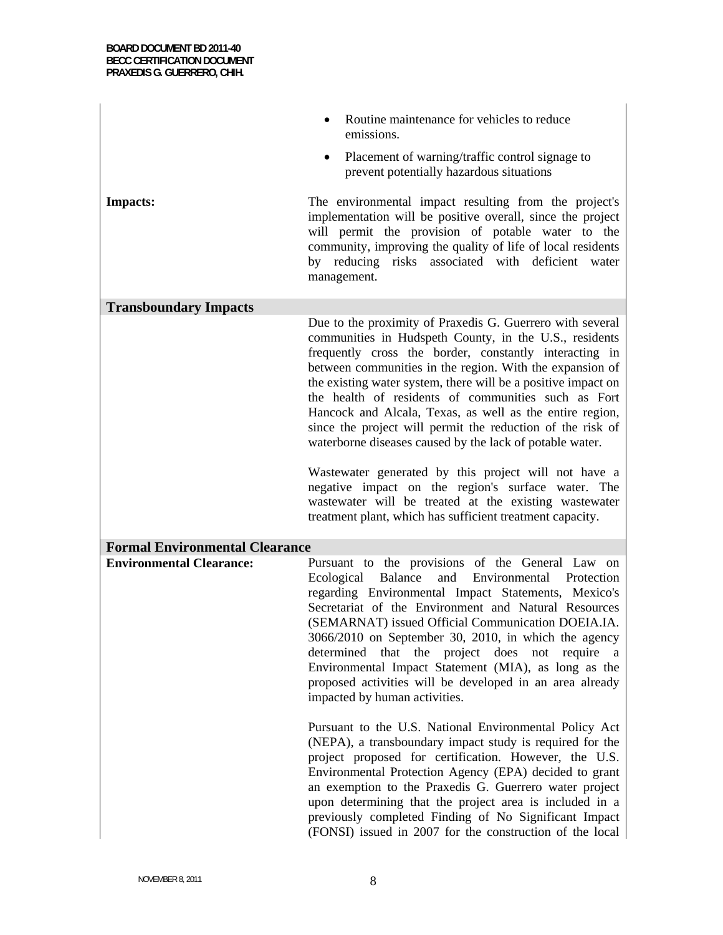|                                       | Routine maintenance for vehicles to reduce<br>emissions.                                                                                                                                                                                                                                                                                                                                                                                                                                                                                                      |
|---------------------------------------|---------------------------------------------------------------------------------------------------------------------------------------------------------------------------------------------------------------------------------------------------------------------------------------------------------------------------------------------------------------------------------------------------------------------------------------------------------------------------------------------------------------------------------------------------------------|
|                                       | Placement of warning/traffic control signage to<br>$\bullet$<br>prevent potentially hazardous situations                                                                                                                                                                                                                                                                                                                                                                                                                                                      |
| <b>Impacts:</b>                       | The environmental impact resulting from the project's<br>implementation will be positive overall, since the project<br>will permit the provision of potable water to the<br>community, improving the quality of life of local residents<br>by reducing risks associated with deficient water<br>management.                                                                                                                                                                                                                                                   |
| <b>Transboundary Impacts</b>          |                                                                                                                                                                                                                                                                                                                                                                                                                                                                                                                                                               |
|                                       | Due to the proximity of Praxedis G. Guerrero with several<br>communities in Hudspeth County, in the U.S., residents<br>frequently cross the border, constantly interacting in<br>between communities in the region. With the expansion of<br>the existing water system, there will be a positive impact on<br>the health of residents of communities such as Fort<br>Hancock and Alcala, Texas, as well as the entire region,<br>since the project will permit the reduction of the risk of<br>waterborne diseases caused by the lack of potable water.       |
|                                       | Wastewater generated by this project will not have a<br>negative impact on the region's surface water. The<br>wastewater will be treated at the existing wastewater<br>treatment plant, which has sufficient treatment capacity.                                                                                                                                                                                                                                                                                                                              |
| <b>Formal Environmental Clearance</b> |                                                                                                                                                                                                                                                                                                                                                                                                                                                                                                                                                               |
| <b>Environmental Clearance:</b>       | Pursuant to the provisions of the General Law on<br>and<br>Environmental<br>Ecological<br>Balance<br>Protection<br>regarding Environmental Impact Statements, Mexico's<br>Secretariat of the Environment and Natural Resources<br>(SEMARNAT) issued Official Communication DOEIA.IA.<br>3066/2010 on September 30, 2010, in which the agency<br>that the project does not<br>determined<br>require<br>a.<br>Environmental Impact Statement (MIA), as long as the<br>proposed activities will be developed in an area already<br>impacted by human activities. |
|                                       | Pursuant to the U.S. National Environmental Policy Act<br>(NEPA), a transboundary impact study is required for the<br>project proposed for certification. However, the U.S.<br>Environmental Protection Agency (EPA) decided to grant<br>an exemption to the Praxedis G. Guerrero water project<br>upon determining that the project area is included in a<br>previously completed Finding of No Significant Impact<br>(FONSI) issued in 2007 for the construction of the local                                                                               |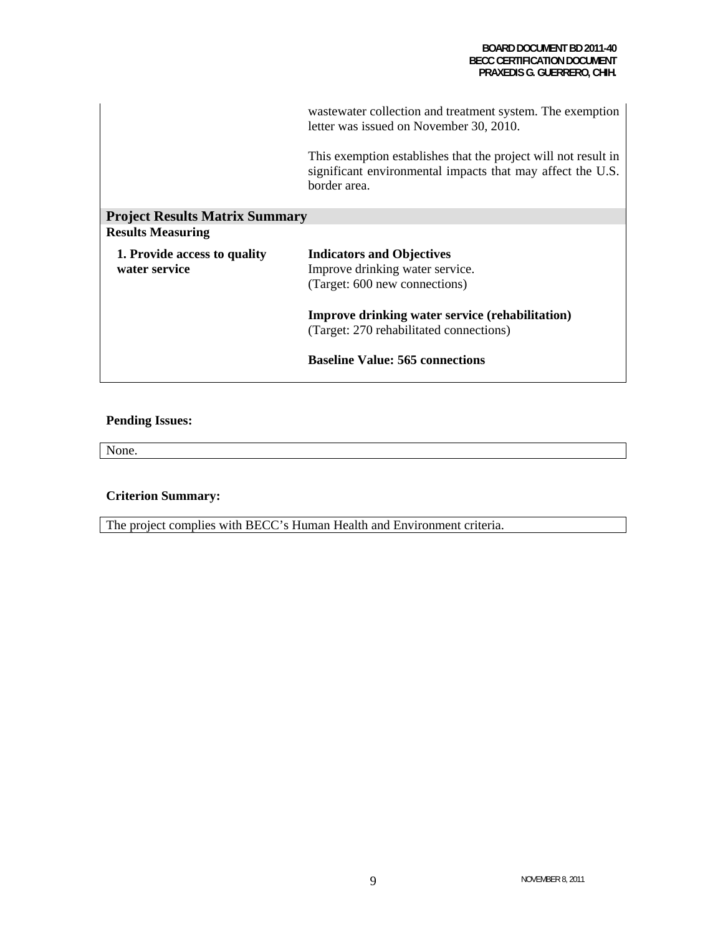|                                               | was tewater collection and treatment system. The exemption<br>letter was issued on November 30, 2010.                                        |
|-----------------------------------------------|----------------------------------------------------------------------------------------------------------------------------------------------|
|                                               | This exemption establishes that the project will not result in<br>significant environmental impacts that may affect the U.S.<br>border area. |
| <b>Project Results Matrix Summary</b>         |                                                                                                                                              |
| <b>Results Measuring</b>                      |                                                                                                                                              |
| 1. Provide access to quality<br>water service | <b>Indicators and Objectives</b><br>Improve drinking water service.<br>(Target: 600 new connections)                                         |
|                                               | <b>Improve drinking water service (rehabilitation)</b><br>(Target: 270 rehabilitated connections)                                            |
|                                               | <b>Baseline Value: 565 connections</b>                                                                                                       |

### **Pending Issues:**

None.

### **Criterion Summary:**

The project complies with BECC's Human Health and Environment criteria.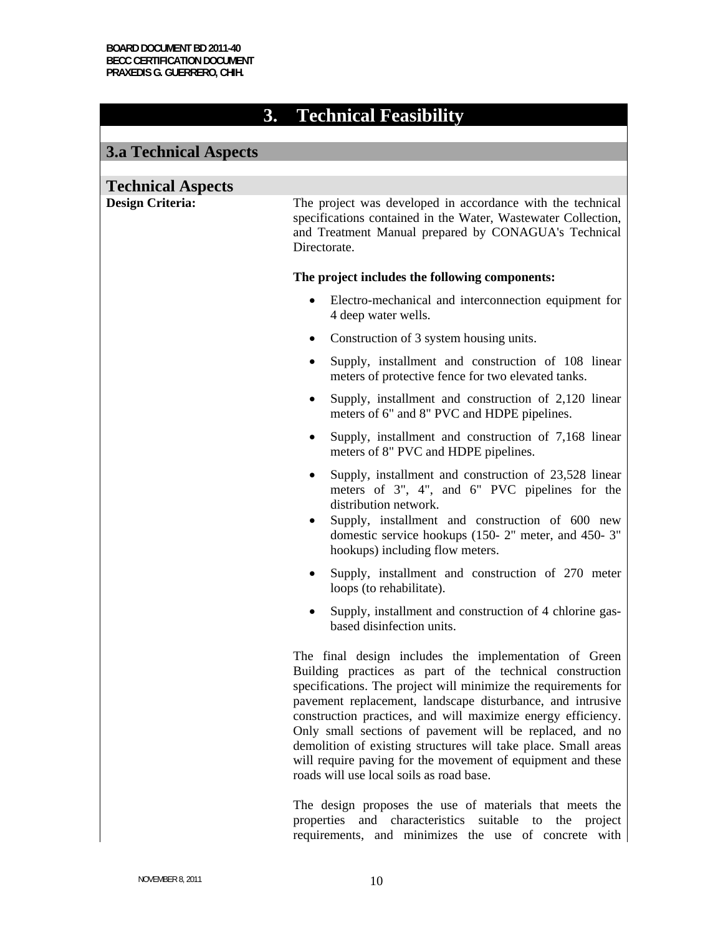## **3. Technical Feasibility**

| <b>3.a Technical Aspects</b>                        |                                                                                                                                                                                                                                                                                                                                                                                                                                                                                                                                                            |
|-----------------------------------------------------|------------------------------------------------------------------------------------------------------------------------------------------------------------------------------------------------------------------------------------------------------------------------------------------------------------------------------------------------------------------------------------------------------------------------------------------------------------------------------------------------------------------------------------------------------------|
|                                                     |                                                                                                                                                                                                                                                                                                                                                                                                                                                                                                                                                            |
| <b>Technical Aspects</b><br><b>Design Criteria:</b> | The project was developed in accordance with the technical<br>specifications contained in the Water, Wastewater Collection,<br>and Treatment Manual prepared by CONAGUA's Technical<br>Directorate.                                                                                                                                                                                                                                                                                                                                                        |
|                                                     | The project includes the following components:                                                                                                                                                                                                                                                                                                                                                                                                                                                                                                             |
|                                                     | Electro-mechanical and interconnection equipment for<br>٠<br>4 deep water wells.                                                                                                                                                                                                                                                                                                                                                                                                                                                                           |
|                                                     | Construction of 3 system housing units.<br>٠                                                                                                                                                                                                                                                                                                                                                                                                                                                                                                               |
|                                                     | Supply, installment and construction of 108 linear<br>$\bullet$<br>meters of protective fence for two elevated tanks.                                                                                                                                                                                                                                                                                                                                                                                                                                      |
|                                                     | Supply, installment and construction of 2,120 linear<br>٠<br>meters of 6" and 8" PVC and HDPE pipelines.                                                                                                                                                                                                                                                                                                                                                                                                                                                   |
|                                                     | Supply, installment and construction of 7,168 linear<br>٠<br>meters of 8" PVC and HDPE pipelines.                                                                                                                                                                                                                                                                                                                                                                                                                                                          |
|                                                     | Supply, installment and construction of 23,528 linear<br>$\bullet$<br>meters of 3", 4", and 6" PVC pipelines for the<br>distribution network.<br>Supply, installment and construction of 600 new<br>٠<br>domestic service hookups (150-2" meter, and 450-3"<br>hookups) including flow meters.                                                                                                                                                                                                                                                             |
|                                                     | Supply, installment and construction of 270 meter<br>٠<br>loops (to rehabilitate).                                                                                                                                                                                                                                                                                                                                                                                                                                                                         |
|                                                     | Supply, installment and construction of 4 chlorine gas-<br>٠<br>based disinfection units.                                                                                                                                                                                                                                                                                                                                                                                                                                                                  |
|                                                     | The final design includes the implementation of Green<br>Building practices as part of the technical construction<br>specifications. The project will minimize the requirements for<br>pavement replacement, landscape disturbance, and intrusive<br>construction practices, and will maximize energy efficiency.<br>Only small sections of pavement will be replaced, and no<br>demolition of existing structures will take place. Small areas<br>will require paving for the movement of equipment and these<br>roads will use local soils as road base. |
|                                                     | The design proposes the use of materials that meets the<br>and characteristics suitable to the project<br>properties                                                                                                                                                                                                                                                                                                                                                                                                                                       |

requirements, and minimizes the use of concrete with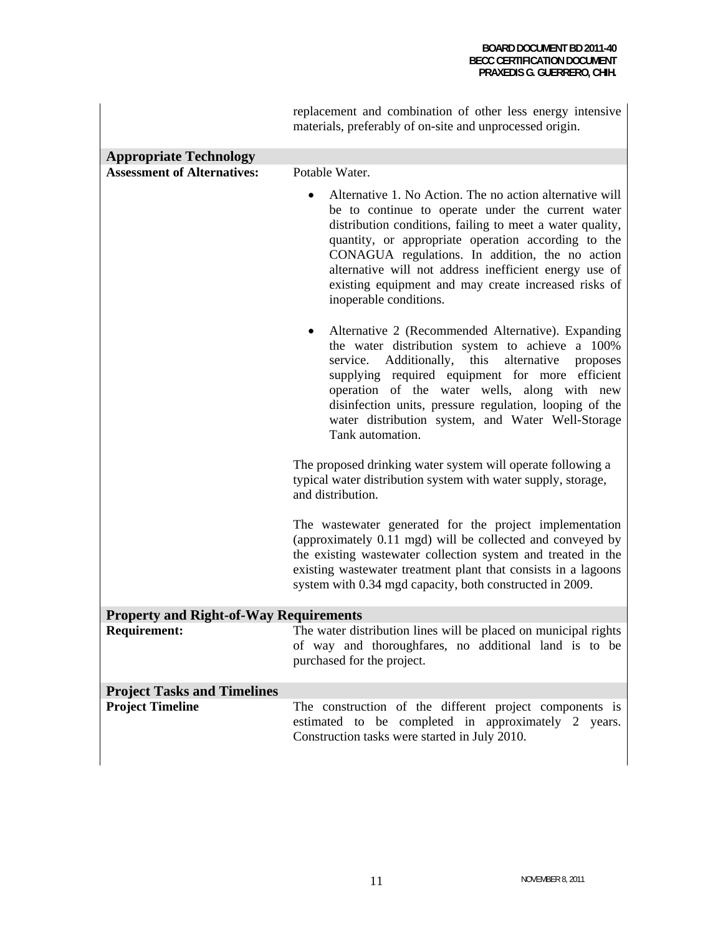|                                                               | replacement and combination of other less energy intensive<br>materials, preferably of on-site and unprocessed origin.                                                                                                                                                                                                                                                                                                           |
|---------------------------------------------------------------|----------------------------------------------------------------------------------------------------------------------------------------------------------------------------------------------------------------------------------------------------------------------------------------------------------------------------------------------------------------------------------------------------------------------------------|
| <b>Appropriate Technology</b>                                 |                                                                                                                                                                                                                                                                                                                                                                                                                                  |
| <b>Assessment of Alternatives:</b>                            | Potable Water.                                                                                                                                                                                                                                                                                                                                                                                                                   |
|                                                               | Alternative 1. No Action. The no action alternative will<br>be to continue to operate under the current water<br>distribution conditions, failing to meet a water quality,<br>quantity, or appropriate operation according to the<br>CONAGUA regulations. In addition, the no action<br>alternative will not address inefficient energy use of<br>existing equipment and may create increased risks of<br>inoperable conditions. |
|                                                               | Alternative 2 (Recommended Alternative). Expanding<br>the water distribution system to achieve a 100%<br>Additionally,<br>this<br>alternative<br>service.<br>proposes<br>supplying required equipment for more efficient<br>operation of the water wells, along with new<br>disinfection units, pressure regulation, looping of the<br>water distribution system, and Water Well-Storage<br>Tank automation.                     |
|                                                               | The proposed drinking water system will operate following a<br>typical water distribution system with water supply, storage,<br>and distribution.                                                                                                                                                                                                                                                                                |
|                                                               | The wastewater generated for the project implementation<br>(approximately 0.11 mgd) will be collected and conveyed by<br>the existing wastewater collection system and treated in the<br>existing wastewater treatment plant that consists in a lagoons<br>system with 0.34 mgd capacity, both constructed in 2009.                                                                                                              |
| <b>Property and Right-of-Way Requirements</b>                 |                                                                                                                                                                                                                                                                                                                                                                                                                                  |
| <b>Requirement:</b>                                           | The water distribution lines will be placed on municipal rights<br>of way and thoroughfares, no additional land is to be<br>purchased for the project.                                                                                                                                                                                                                                                                           |
| <b>Project Tasks and Timelines</b><br><b>Project Timeline</b> | The construction of the different project components is<br>estimated to be completed in approximately 2 years.<br>Construction tasks were started in July 2010.                                                                                                                                                                                                                                                                  |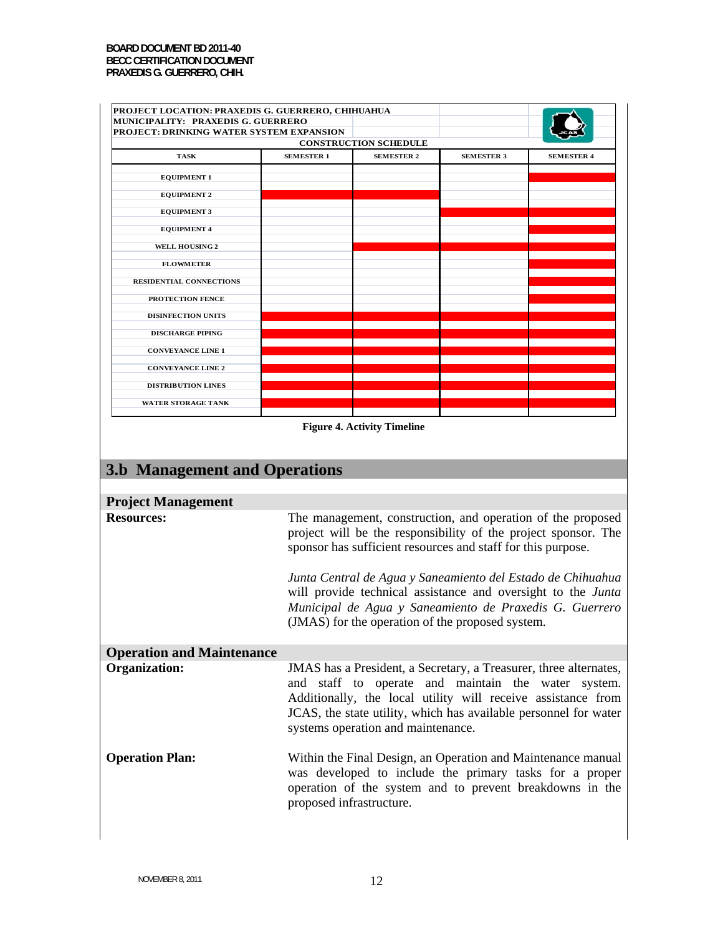| PROJECT LOCATION: PRAXEDIS G. GUERRERO, CHIHUAHUA<br>MUNICIPALITY: PRAXEDIS G. GUERRERO<br>PROJECT: DRINKING WATER SYSTEM EXPANSION |                          |                                    |                                                                                                                  |                                                                                                                                                                                                                                                                                                                         |
|-------------------------------------------------------------------------------------------------------------------------------------|--------------------------|------------------------------------|------------------------------------------------------------------------------------------------------------------|-------------------------------------------------------------------------------------------------------------------------------------------------------------------------------------------------------------------------------------------------------------------------------------------------------------------------|
|                                                                                                                                     |                          | <b>CONSTRUCTION SCHEDULE</b>       |                                                                                                                  |                                                                                                                                                                                                                                                                                                                         |
| <b>TASK</b>                                                                                                                         | <b>SEMESTER 1</b>        | <b>SEMESTER 2</b>                  | <b>SEMESTER 3</b>                                                                                                | <b>SEMESTER 4</b>                                                                                                                                                                                                                                                                                                       |
| <b>EQUIPMENT 1</b>                                                                                                                  |                          |                                    |                                                                                                                  |                                                                                                                                                                                                                                                                                                                         |
| <b>EQUIPMENT 2</b>                                                                                                                  |                          |                                    |                                                                                                                  |                                                                                                                                                                                                                                                                                                                         |
| <b>EQUIPMENT 3</b>                                                                                                                  |                          |                                    |                                                                                                                  |                                                                                                                                                                                                                                                                                                                         |
| <b>EQUIPMENT 4</b>                                                                                                                  |                          |                                    |                                                                                                                  |                                                                                                                                                                                                                                                                                                                         |
| <b>WELL HOUSING 2</b>                                                                                                               |                          |                                    |                                                                                                                  |                                                                                                                                                                                                                                                                                                                         |
| <b>FLOWMETER</b>                                                                                                                    |                          |                                    |                                                                                                                  |                                                                                                                                                                                                                                                                                                                         |
| <b>RESIDENTIAL CONNECTIONS</b>                                                                                                      |                          |                                    |                                                                                                                  |                                                                                                                                                                                                                                                                                                                         |
| PROTECTION FENCE                                                                                                                    |                          |                                    |                                                                                                                  |                                                                                                                                                                                                                                                                                                                         |
| <b>DISINFECTION UNITS</b>                                                                                                           |                          |                                    |                                                                                                                  |                                                                                                                                                                                                                                                                                                                         |
| <b>DISCHARGE PIPING</b>                                                                                                             |                          |                                    |                                                                                                                  |                                                                                                                                                                                                                                                                                                                         |
| <b>CONVEYANCE LINE 1</b>                                                                                                            |                          |                                    |                                                                                                                  |                                                                                                                                                                                                                                                                                                                         |
| <b>CONVEYANCE LINE 2</b>                                                                                                            |                          |                                    |                                                                                                                  |                                                                                                                                                                                                                                                                                                                         |
| <b>DISTRIBUTION LINES</b>                                                                                                           |                          |                                    |                                                                                                                  |                                                                                                                                                                                                                                                                                                                         |
| <b>WATER STORAGE TANK</b>                                                                                                           |                          |                                    |                                                                                                                  |                                                                                                                                                                                                                                                                                                                         |
| <b>3.b Management and Operations</b><br><b>Project Management</b><br><b>Resources:</b>                                              |                          |                                    | sponsor has sufficient resources and staff for this purpose.<br>(JMAS) for the operation of the proposed system. | The management, construction, and operation of the proposed<br>project will be the responsibility of the project sponsor. The<br>Junta Central de Agua y Saneamiento del Estado de Chihuahua<br>will provide technical assistance and oversight to the Junta<br>Municipal de Agua y Saneamiento de Praxedis G. Guerrero |
| <b>Operation and Maintenance</b>                                                                                                    |                          |                                    |                                                                                                                  |                                                                                                                                                                                                                                                                                                                         |
| <b>Organization:</b>                                                                                                                |                          | systems operation and maintenance. |                                                                                                                  | JMAS has a President, a Secretary, a Treasurer, three alternates,<br>and staff to operate and maintain the water system.<br>Additionally, the local utility will receive assistance from<br>JCAS, the state utility, which has available personnel for water                                                            |
| <b>Operation Plan:</b>                                                                                                              | proposed infrastructure. |                                    |                                                                                                                  | Within the Final Design, an Operation and Maintenance manual<br>was developed to include the primary tasks for a proper<br>operation of the system and to prevent breakdowns in the                                                                                                                                     |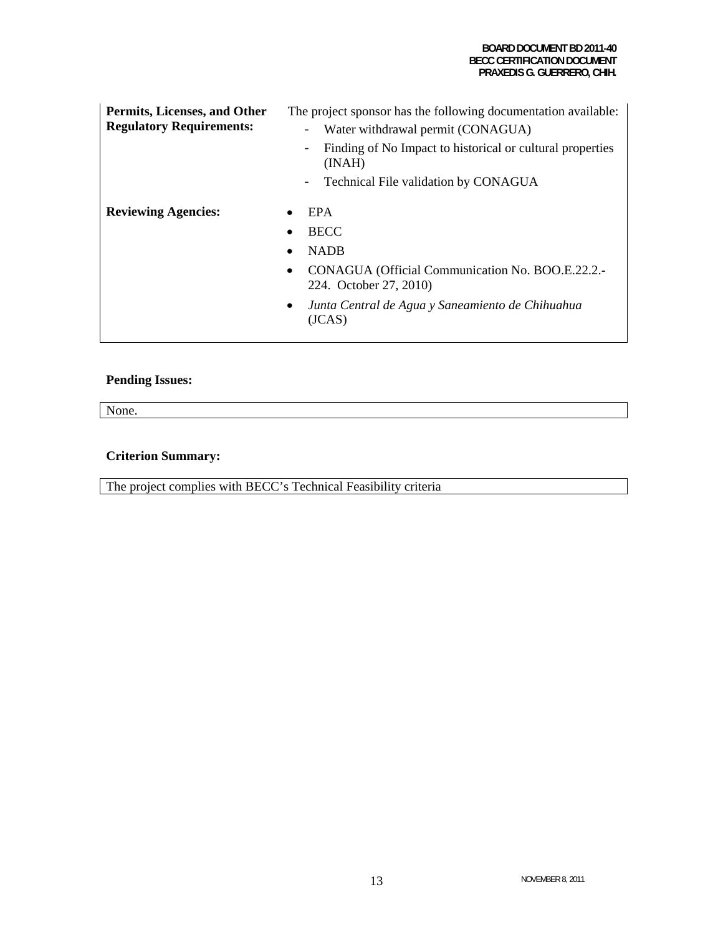#### **BOARD DOCUMENT BD 2011-40 BECC CERTIFICATION DOCUMENT PRAXEDIS G. GUERRERO, CHIH.**

| Permits, Licenses, and Other<br><b>Regulatory Requirements:</b> | The project sponsor has the following documentation available:<br>Water withdrawal permit (CONAGUA)<br>Finding of No Impact to historical or cultural properties<br>$\overline{\phantom{m}}$<br>(INAH)<br>Technical File validation by CONAGUA<br>$\qquad \qquad -$ |
|-----------------------------------------------------------------|---------------------------------------------------------------------------------------------------------------------------------------------------------------------------------------------------------------------------------------------------------------------|
| <b>Reviewing Agencies:</b>                                      | <b>EPA</b><br><b>BECC</b><br><b>NADB</b><br>CONAGUA (Official Communication No. BOO.E.22.2.-<br>224. October 27, 2010)<br>Junta Central de Agua y Saneamiento de Chihuahua<br>(JCAS)                                                                                |

### **Pending Issues:**

None.

### **Criterion Summary:**

The project complies with BECC's Technical Feasibility criteria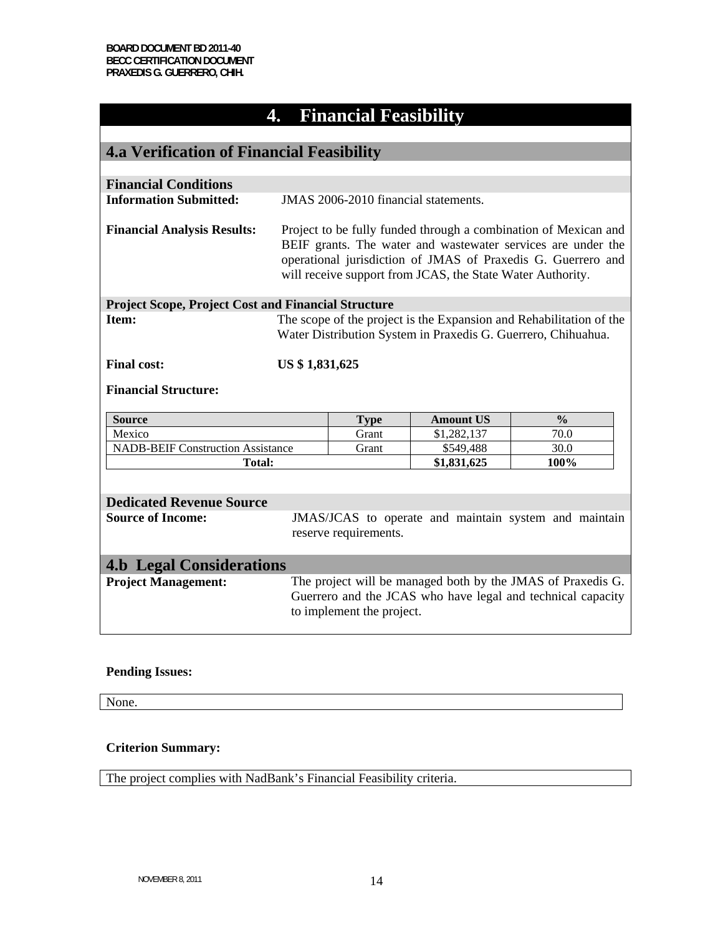## **4. Financial Feasibility**

| <b>4.a Verification of Financial Feasibility</b>            |                                                                                                                                                                                                                                                               |                                      |                  |                                                       |
|-------------------------------------------------------------|---------------------------------------------------------------------------------------------------------------------------------------------------------------------------------------------------------------------------------------------------------------|--------------------------------------|------------------|-------------------------------------------------------|
|                                                             |                                                                                                                                                                                                                                                               |                                      |                  |                                                       |
| <b>Financial Conditions</b>                                 |                                                                                                                                                                                                                                                               |                                      |                  |                                                       |
| <b>Information Submitted:</b>                               |                                                                                                                                                                                                                                                               | JMAS 2006-2010 financial statements. |                  |                                                       |
| <b>Financial Analysis Results:</b>                          | Project to be fully funded through a combination of Mexican and<br>BEIF grants. The water and wastewater services are under the<br>operational jurisdiction of JMAS of Praxedis G. Guerrero and<br>will receive support from JCAS, the State Water Authority. |                                      |                  |                                                       |
| <b>Project Scope, Project Cost and Financial Structure</b>  |                                                                                                                                                                                                                                                               |                                      |                  |                                                       |
| Item:                                                       | The scope of the project is the Expansion and Rehabilitation of the<br>Water Distribution System in Praxedis G. Guerrero, Chihuahua.                                                                                                                          |                                      |                  |                                                       |
| <b>Final cost:</b>                                          | US \$1,831,625                                                                                                                                                                                                                                                |                                      |                  |                                                       |
| <b>Financial Structure:</b>                                 |                                                                                                                                                                                                                                                               |                                      |                  |                                                       |
| <b>Source</b>                                               |                                                                                                                                                                                                                                                               | <b>Type</b>                          | <b>Amount US</b> | $\frac{0}{0}$                                         |
| Mexico                                                      |                                                                                                                                                                                                                                                               | Grant                                | \$1,282,137      | 70.0                                                  |
| <b>NADB-BEIF Construction Assistance</b>                    |                                                                                                                                                                                                                                                               | Grant                                | \$549,488        | 30.0                                                  |
|                                                             | <b>Total:</b>                                                                                                                                                                                                                                                 |                                      | \$1,831,625      | 100%                                                  |
|                                                             |                                                                                                                                                                                                                                                               |                                      |                  |                                                       |
|                                                             |                                                                                                                                                                                                                                                               |                                      |                  |                                                       |
|                                                             |                                                                                                                                                                                                                                                               | reserve requirements.                |                  |                                                       |
| <b>4.b Legal Considerations</b>                             |                                                                                                                                                                                                                                                               |                                      |                  |                                                       |
| <b>Project Management:</b>                                  | The project will be managed both by the JMAS of Praxedis G.<br>Guerrero and the JCAS who have legal and technical capacity<br>to implement the project.                                                                                                       |                                      |                  |                                                       |
| <b>Dedicated Revenue Source</b><br><b>Source of Income:</b> |                                                                                                                                                                                                                                                               |                                      |                  | JMAS/JCAS to operate and maintain system and maintain |

### **Pending Issues:**

None.

### **Criterion Summary:**

The project complies with NadBank's Financial Feasibility criteria.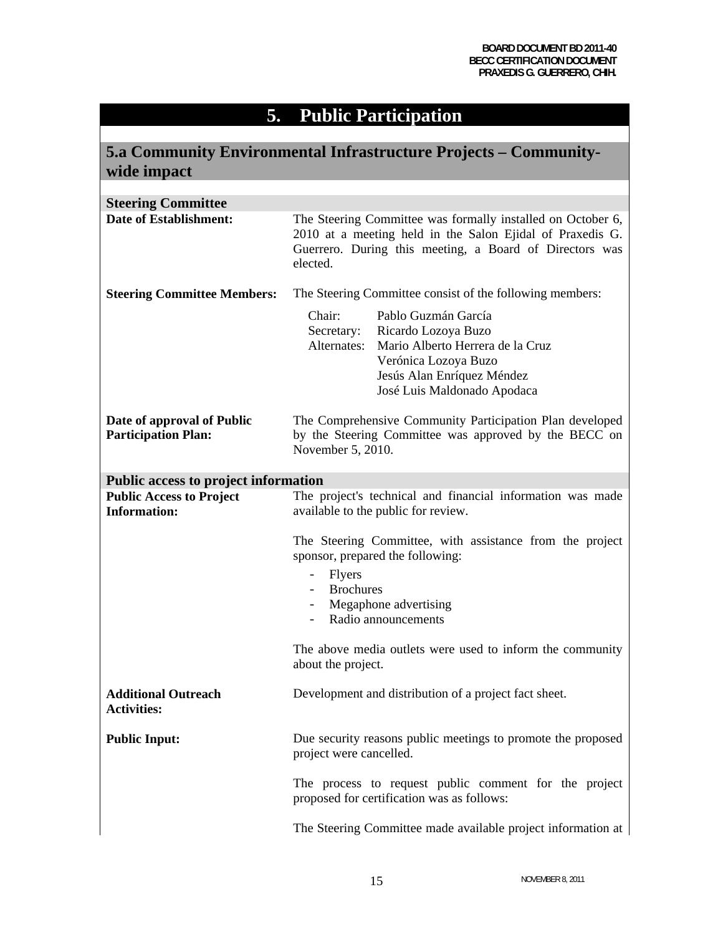## **5. Public Participation**

| 5.a Community Environmental Infrastructure Projects – Community-<br>wide impact |                                                                                                                                                                                                            |  |
|---------------------------------------------------------------------------------|------------------------------------------------------------------------------------------------------------------------------------------------------------------------------------------------------------|--|
|                                                                                 |                                                                                                                                                                                                            |  |
| <b>Steering Committee</b>                                                       |                                                                                                                                                                                                            |  |
| <b>Date of Establishment:</b>                                                   | The Steering Committee was formally installed on October 6,<br>2010 at a meeting held in the Salon Ejidal of Praxedis G.<br>Guerrero. During this meeting, a Board of Directors was<br>elected.            |  |
| <b>Steering Committee Members:</b>                                              | The Steering Committee consist of the following members:                                                                                                                                                   |  |
|                                                                                 | Chair:<br>Pablo Guzmán García<br>Ricardo Lozoya Buzo<br>Secretary:<br>Alternates:<br>Mario Alberto Herrera de la Cruz<br>Verónica Lozoya Buzo<br>Jesús Alan Enríquez Méndez<br>José Luis Maldonado Apodaca |  |
| Date of approval of Public<br><b>Participation Plan:</b>                        | The Comprehensive Community Participation Plan developed<br>by the Steering Committee was approved by the BECC on<br>November 5, 2010.                                                                     |  |
| Public access to project information                                            |                                                                                                                                                                                                            |  |
| <b>Public Access to Project</b><br><b>Information:</b>                          | The project's technical and financial information was made<br>available to the public for review.                                                                                                          |  |
|                                                                                 | The Steering Committee, with assistance from the project<br>sponsor, prepared the following:<br>Flyers<br><b>Brochures</b><br>Megaphone advertising<br>Radio announcements                                 |  |
|                                                                                 | The above media outlets were used to inform the community<br>about the project.                                                                                                                            |  |
| <b>Additional Outreach</b><br><b>Activities:</b>                                | Development and distribution of a project fact sheet.                                                                                                                                                      |  |
| <b>Public Input:</b>                                                            | Due security reasons public meetings to promote the proposed<br>project were cancelled.                                                                                                                    |  |
|                                                                                 | The process to request public comment for the project<br>proposed for certification was as follows:                                                                                                        |  |
|                                                                                 | The Steering Committee made available project information at                                                                                                                                               |  |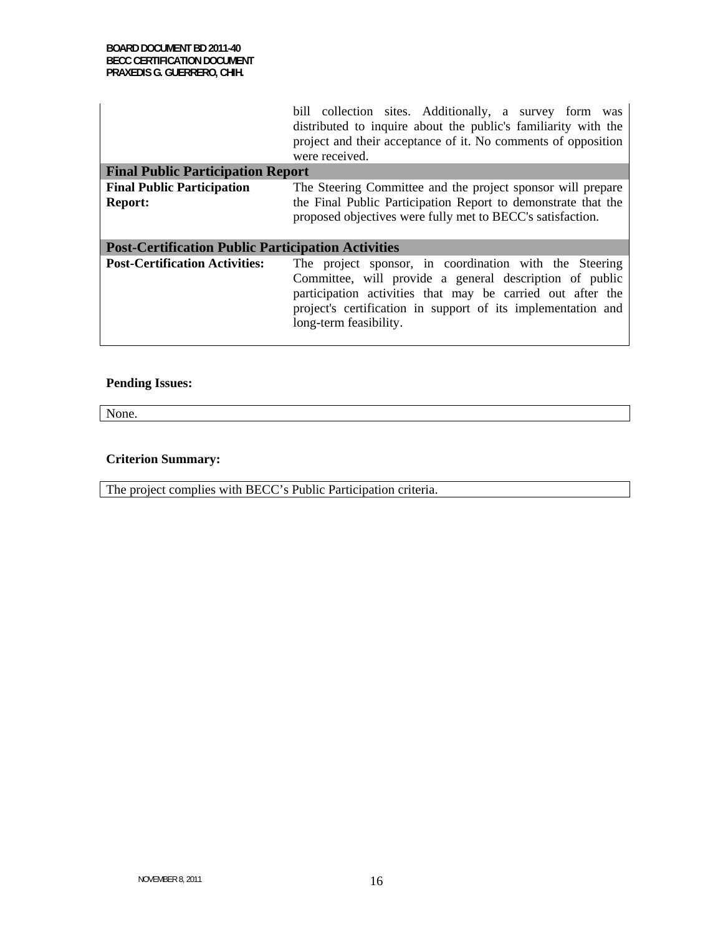|                                                           | bill collection sites. Additionally, a survey form was<br>distributed to inquire about the public's familiarity with the<br>project and their acceptance of it. No comments of opposition<br>were received.                                                               |  |
|-----------------------------------------------------------|---------------------------------------------------------------------------------------------------------------------------------------------------------------------------------------------------------------------------------------------------------------------------|--|
| <b>Final Public Participation Report</b>                  |                                                                                                                                                                                                                                                                           |  |
| <b>Final Public Participation</b>                         | The Steering Committee and the project sponsor will prepare                                                                                                                                                                                                               |  |
| <b>Report:</b>                                            | the Final Public Participation Report to demonstrate that the                                                                                                                                                                                                             |  |
|                                                           | proposed objectives were fully met to BECC's satisfaction.                                                                                                                                                                                                                |  |
|                                                           |                                                                                                                                                                                                                                                                           |  |
| <b>Post-Certification Public Participation Activities</b> |                                                                                                                                                                                                                                                                           |  |
| <b>Post-Certification Activities:</b>                     | The project sponsor, in coordination with the Steering<br>Committee, will provide a general description of public<br>participation activities that may be carried out after the<br>project's certification in support of its implementation and<br>long-term feasibility. |  |

### **Pending Issues:**

None.

### **Criterion Summary:**

The project complies with BECC's Public Participation criteria.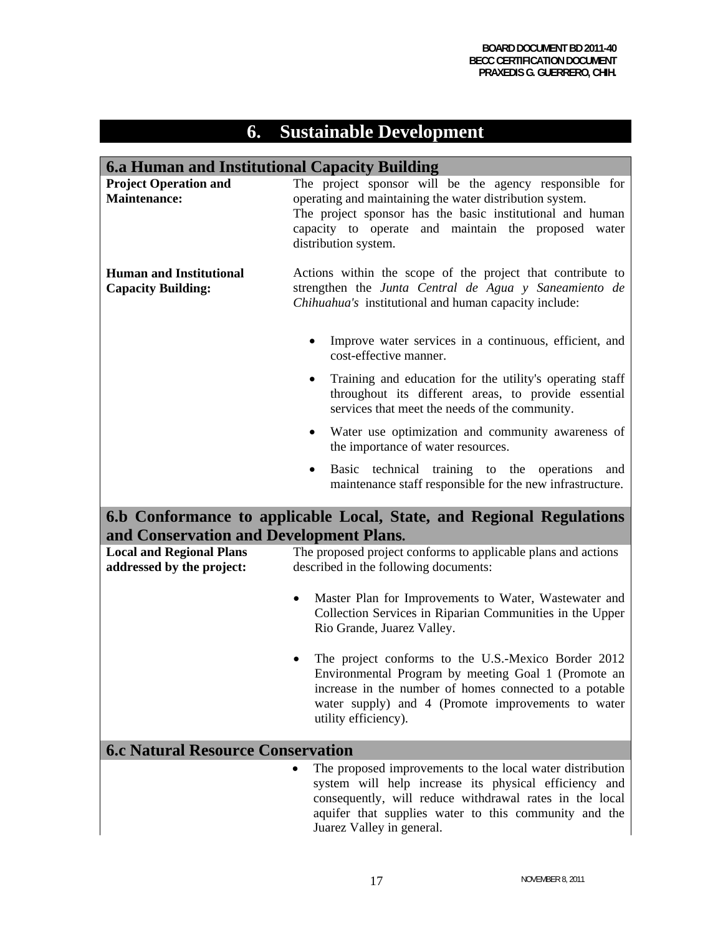# **6. Sustainable Development**

| <b>6.a Human and Institutional Capacity Building</b>         |                                                                                                                                                                                                                                                                                  |  |
|--------------------------------------------------------------|----------------------------------------------------------------------------------------------------------------------------------------------------------------------------------------------------------------------------------------------------------------------------------|--|
| <b>Project Operation and</b><br><b>Maintenance:</b>          | The project sponsor will be the agency responsible for<br>operating and maintaining the water distribution system.<br>The project sponsor has the basic institutional and human<br>capacity to operate and maintain the proposed water<br>distribution system.                   |  |
| <b>Human and Institutional</b><br><b>Capacity Building:</b>  | Actions within the scope of the project that contribute to<br>strengthen the Junta Central de Agua y Saneamiento de<br>Chihuahua's institutional and human capacity include:                                                                                                     |  |
|                                                              | Improve water services in a continuous, efficient, and<br>cost-effective manner.                                                                                                                                                                                                 |  |
|                                                              | Training and education for the utility's operating staff<br>throughout its different areas, to provide essential<br>services that meet the needs of the community.                                                                                                               |  |
|                                                              | Water use optimization and community awareness of<br>٠<br>the importance of water resources.                                                                                                                                                                                     |  |
|                                                              | Basic technical training to the<br>operations<br>and<br>maintenance staff responsible for the new infrastructure.                                                                                                                                                                |  |
| and Conservation and Development Plans.                      | 6.b Conformance to applicable Local, State, and Regional Regulations                                                                                                                                                                                                             |  |
| <b>Local and Regional Plans</b><br>addressed by the project: | The proposed project conforms to applicable plans and actions<br>described in the following documents:                                                                                                                                                                           |  |
|                                                              | Master Plan for Improvements to Water, Wastewater and<br>Collection Services in Riparian Communities in the Upper<br>Rio Grande, Juarez Valley.                                                                                                                                  |  |
|                                                              | The project conforms to the U.S.-Mexico Border 2012<br>٠<br>Environmental Program by meeting Goal 1 (Promote an<br>increase in the number of homes connected to a potable<br>water supply) and 4 (Promote improvements to water<br>utility efficiency).                          |  |
| <b>6.c Natural Resource Conservation</b>                     |                                                                                                                                                                                                                                                                                  |  |
|                                                              | The proposed improvements to the local water distribution<br>$\bullet$<br>system will help increase its physical efficiency and<br>consequently, will reduce withdrawal rates in the local<br>aquifer that supplies water to this community and the<br>Juarez Valley in general. |  |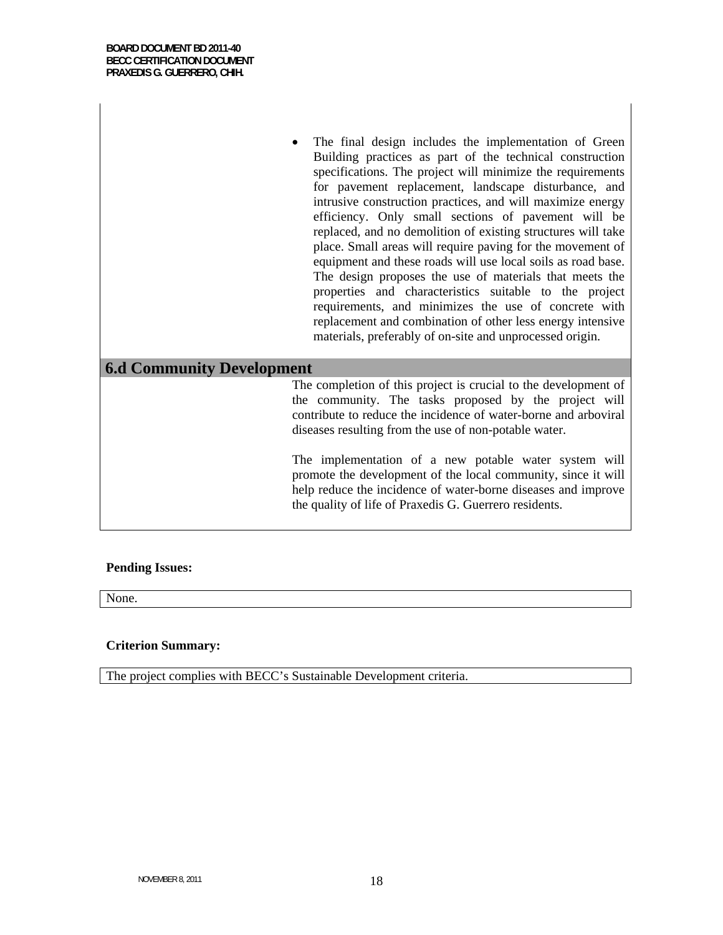• The final design includes the implementation of Green Building practices as part of the technical construction specifications. The project will minimize the requirements for pavement replacement, landscape disturbance, and intrusive construction practices, and will maximize energy efficiency. Only small sections of pavement will be replaced, and no demolition of existing structures will take place. Small areas will require paving for the movement of equipment and these roads will use local soils as road base. The design proposes the use of materials that meets the properties and characteristics suitable to the project requirements, and minimizes the use of concrete with replacement and combination of other less energy intensive materials, preferably of on-site and unprocessed origin.

### **6.d Community Development**

The completion of this project is crucial to the development of the community. The tasks proposed by the project will contribute to reduce the incidence of water-borne and arboviral diseases resulting from the use of non-potable water.

The implementation of a new potable water system will promote the development of the local community, since it will help reduce the incidence of water-borne diseases and improve the quality of life of Praxedis G. Guerrero residents.

#### **Pending Issues:**

None.

#### **Criterion Summary:**

The project complies with BECC's Sustainable Development criteria.